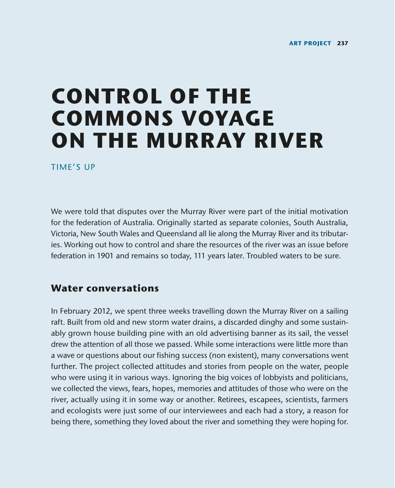# **Control of the Commons voyage on the Murray River**

Time's Up

We were told that disputes over the Murray River were part of the initial motivation for the federation of Australia. Originally started as separate colonies, South Australia, Victoria, New South Wales and Queensland all lie along the Murray River and its tributaries. Working out how to control and share the resources of the river was an issue before federation in 1901 and remains so today, 111 years later. Troubled waters to be sure.

# **Water conversations**

In February 2012, we spent three weeks travelling down the Murray River on a sailing raft. Built from old and new storm water drains, a discarded dinghy and some sustainably grown house building pine with an old advertising banner as its sail, the vessel drew the attention of all those we passed. While some interactions were little more than a wave or questions about our fishing success (non existent), many conversations went further. The project collected attitudes and stories from people on the water, people who were using it in various ways. Ignoring the big voices of lobbyists and politicians, we collected the views, fears, hopes, memories and attitudes of those who were on the river, actually using it in some way or another. Retirees, escapees, scientists, farmers and ecologists were just some of our interviewees and each had a story, a reason for being there, something they loved about the river and something they were hoping for.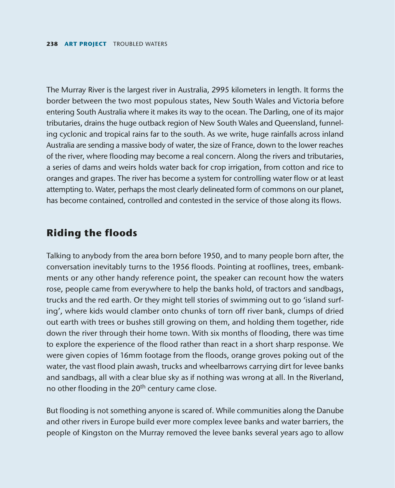The Murray River is the largest river in Australia, 2995 kilometers in length. It forms the border between the two most populous states, New South Wales and Victoria before entering South Australia where it makes its way to the ocean. The Darling, one of its major tributaries, drains the huge outback region of New South Wales and Queensland, funneling cyclonic and tropical rains far to the south. As we write, huge rainfalls across inland Australia are sending a massive body of water, the size of France, down to the lower reaches of the river, where flooding may become a real concern. Along the rivers and tributaries, a series of dams and weirs holds water back for crop irrigation, from cotton and rice to oranges and grapes. The river has become a system for controlling water flow or at least attempting to. Water, perhaps the most clearly delineated form of commons on our planet, has become contained, controlled and contested in the service of those along its flows.

# **Riding the floods**

Talking to anybody from the area born before 1950, and to many people born after, the conversation inevitably turns to the 1956 floods. Pointing at rooflines, trees, embankments or any other handy reference point, the speaker can recount how the waters rose, people came from everywhere to help the banks hold, of tractors and sandbags, trucks and the red earth. Or they might tell stories of swimming out to go 'island surfing', where kids would clamber onto chunks of torn off river bank, clumps of dried out earth with trees or bushes still growing on them, and holding them together, ride down the river through their home town. With six months of flooding, there was time to explore the experience of the flood rather than react in a short sharp response. We were given copies of 16mm footage from the floods, orange groves poking out of the water, the vast flood plain awash, trucks and wheelbarrows carrying dirt for levee banks and sandbags, all with a clear blue sky as if nothing was wrong at all. In the Riverland, no other flooding in the 20<sup>th</sup> century came close.

But flooding is not something anyone is scared of. While communities along the Danube and other rivers in Europe build ever more complex levee banks and water barriers, the people of Kingston on the Murray removed the levee banks several years ago to allow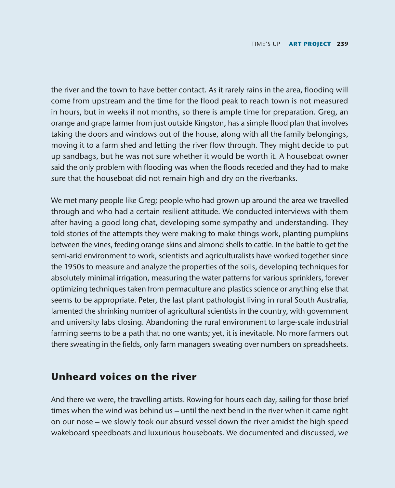the river and the town to have better contact. As it rarely rains in the area, flooding will come from upstream and the time for the flood peak to reach town is not measured in hours, but in weeks if not months, so there is ample time for preparation. Greg, an orange and grape farmer from just outside Kingston, has a simple flood plan that involves taking the doors and windows out of the house, along with all the family belongings, moving it to a farm shed and letting the river flow through. They might decide to put up sandbags, but he was not sure whether it would be worth it. A houseboat owner said the only problem with flooding was when the floods receded and they had to make sure that the houseboat did not remain high and dry on the riverbanks.

We met many people like Greg; people who had grown up around the area we travelled through and who had a certain resilient attitude. We conducted interviews with them after having a good long chat, developing some sympathy and understanding. They told stories of the attempts they were making to make things work, planting pumpkins between the vines, feeding orange skins and almond shells to cattle. In the battle to get the semi-arid environment to work, scientists and agriculturalists have worked together since the 1950s to measure and analyze the properties of the soils, developing techniques for absolutely minimal irrigation, measuring the water patterns for various sprinklers, forever optimizing techniques taken from permaculture and plastics science or anything else that seems to be appropriate. Peter, the last plant pathologist living in rural South Australia, lamented the shrinking number of agricultural scientists in the country, with government and university labs closing. Abandoning the rural environment to large-scale industrial farming seems to be a path that no one wants; yet, it is inevitable. No more farmers out there sweating in the fields, only farm managers sweating over numbers on spreadsheets.

# **Unheard voices on the river**

And there we were, the travelling artists. Rowing for hours each day, sailing for those brief times when the wind was behind us – until the next bend in the river when it came right on our nose – we slowly took our absurd vessel down the river amidst the high speed wakeboard speedboats and luxurious houseboats. We documented and discussed, we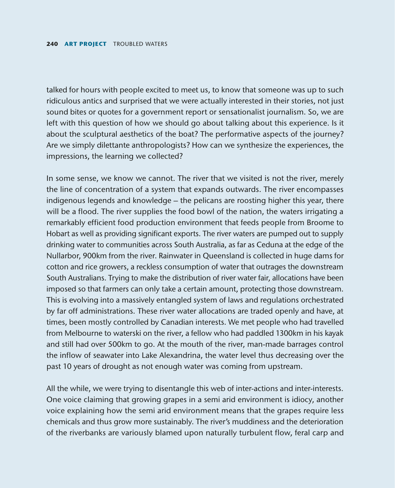talked for hours with people excited to meet us, to know that someone was up to such ridiculous antics and surprised that we were actually interested in their stories, not just sound bites or quotes for a government report or sensationalist journalism. So, we are left with this question of how we should go about talking about this experience. Is it about the sculptural aesthetics of the boat? The performative aspects of the journey? Are we simply dilettante anthropologists? How can we synthesize the experiences, the impressions, the learning we collected?

In some sense, we know we cannot. The river that we visited is not the river, merely the line of concentration of a system that expands outwards. The river encompasses indigenous legends and knowledge – the pelicans are roosting higher this year, there will be a flood. The river supplies the food bowl of the nation, the waters irrigating a remarkably efficient food production environment that feeds people from Broome to Hobart as well as providing significant exports. The river waters are pumped out to supply drinking water to communities across South Australia, as far as Ceduna at the edge of the Nullarbor, 900km from the river. Rainwater in Queensland is collected in huge dams for cotton and rice growers, a reckless consumption of water that outrages the downstream South Australians. Trying to make the distribution of river water fair, allocations have been imposed so that farmers can only take a certain amount, protecting those downstream. This is evolving into a massively entangled system of laws and regulations orchestrated by far off administrations. These river water allocations are traded openly and have, at times, been mostly controlled by Canadian interests. We met people who had travelled from Melbourne to waterski on the river, a fellow who had paddled 1300km in his kayak and still had over 500km to go. At the mouth of the river, man-made barrages control the inflow of seawater into Lake Alexandrina, the water level thus decreasing over the past 10 years of drought as not enough water was coming from upstream.

All the while, we were trying to disentangle this web of inter-actions and inter-interests. One voice claiming that growing grapes in a semi arid environment is idiocy, another voice explaining how the semi arid environment means that the grapes require less chemicals and thus grow more sustainably. The river's muddiness and the deterioration of the riverbanks are variously blamed upon naturally turbulent flow, feral carp and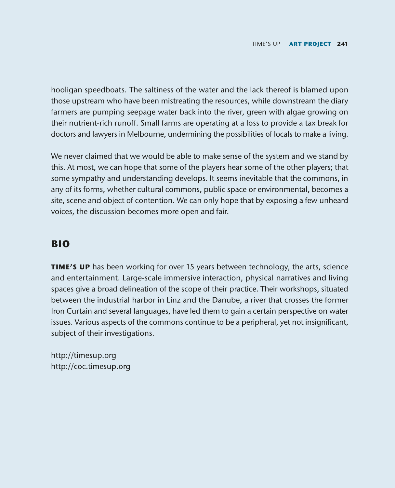hooligan speedboats. The saltiness of the water and the lack thereof is blamed upon those upstream who have been mistreating the resources, while downstream the diary farmers are pumping seepage water back into the river, green with algae growing on their nutrient-rich runoff. Small farms are operating at a loss to provide a tax break for doctors and lawyers in Melbourne, undermining the possibilities of locals to make a living.

We never claimed that we would be able to make sense of the system and we stand by this. At most, we can hope that some of the players hear some of the other players; that some sympathy and understanding develops. It seems inevitable that the commons, in any of its forms, whether cultural commons, public space or environmental, becomes a site, scene and object of contention. We can only hope that by exposing a few unheard voices, the discussion becomes more open and fair.

# **BIO**

**TIME'S UP** has been working for over 15 years between technology, the arts, science and entertainment. Large-scale immersive interaction, physical narratives and living spaces give a broad delineation of the scope of their practice. Their workshops, situated between the industrial harbor in Linz and the Danube, a river that crosses the former Iron Curtain and several languages, have led them to gain a certain perspective on water issues. Various aspects of the commons continue to be a peripheral, yet not insignificant, subject of their investigations.

http://timesup.org http://coc.timesup.org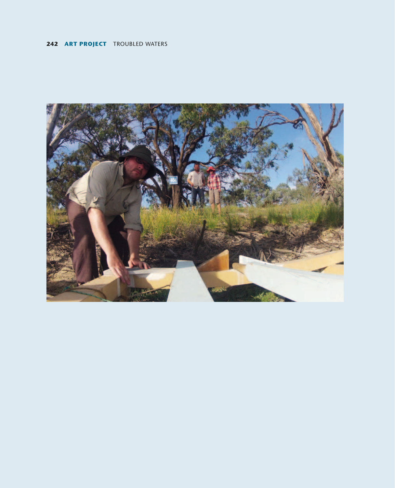#### **242 ART PROJECT** TROUBLED WATERS

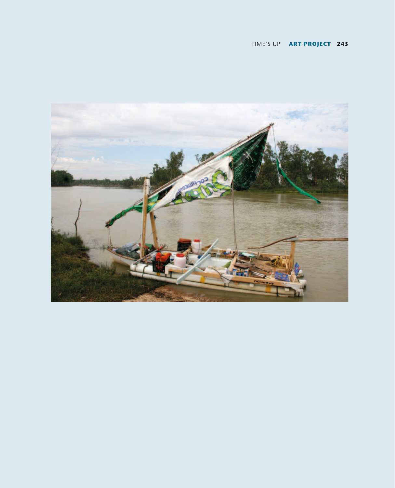